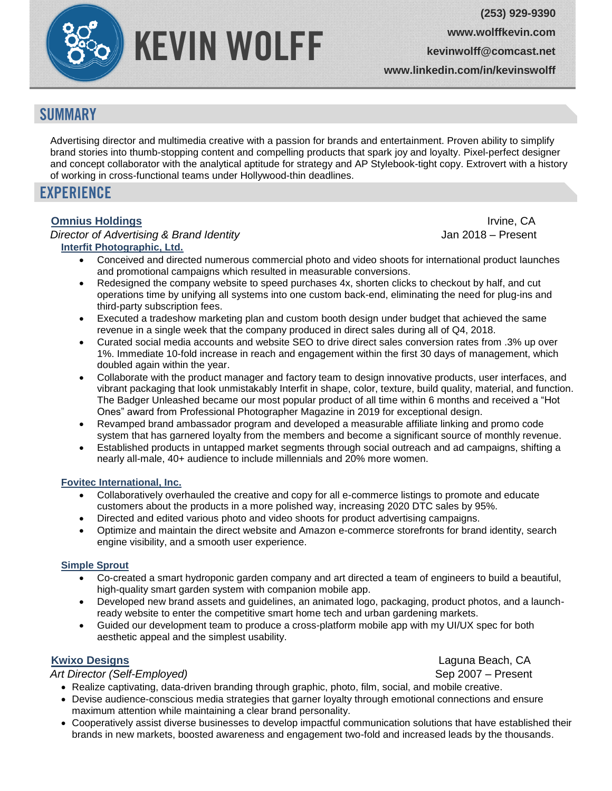

**[www.wolffkevin.com](http://www.wolffkevin.com/)**

**kevinwolff@comcast.net**

**[www.linkedin.com/in/kevinswolff](http://www.linkedin.com/in/kevinswolff)**

# **SUMMARY**

Advertising director and multimedia creative with a passion for brands and entertainment. Proven ability to simplify brand stories into thumb-stopping content and compelling products that spark joy and loyalty. Pixel-perfect designer and concept collaborator with the analytical aptitude for strategy and AP Stylebook-tight copy. Extrovert with a history of working in cross-functional teams under Hollywood-thin deadlines.

# **EXPERIENCE**

### **[Omnius Holdings](http://www.omniusholdings.com/)** Irvine, CA

 *Director of Advertising & Brand Identity* Jan 2018 – Present **Interfit [Photographic, Ltd.](https://www.interfitphoto.com/)**

- Conceived and directed numerous commercial photo and video shoots for international product launches and promotional campaigns which resulted in measurable conversions.
- Redesigned the company website to speed purchases 4x, shorten clicks to checkout by half, and cut operations time by unifying all systems into one custom back-end, eliminating the need for plug-ins and third-party subscription fees.
- Executed a tradeshow marketing plan and custom booth design under budget that achieved the same revenue in a single week that the company produced in direct sales during all of Q4, 2018.
- Curated social media accounts and website SEO to drive direct sales conversion rates from .3% up over 1%. Immediate 10-fold increase in reach and engagement within the first 30 days of management, which doubled again within the year.
- Collaborate with the product manager and factory team to design innovative products, user interfaces, and vibrant packaging that look unmistakably Interfit in shape, color, texture, build quality, material, and function. The Badger Unleashed became our most popular product of all time within 6 months and received a "Hot Ones" award from Professional Photographer Magazine in 2019 for exceptional design.
- Revamped brand ambassador program and developed a measurable affiliate linking and promo code system that has garnered loyalty from the members and become a significant source of monthly revenue.
- Established products in untapped market segments through social outreach and ad campaigns, shifting a nearly all-male, 40+ audience to include millennials and 20% more women.

#### **Fovitec [International, Inc.](https://www.fovitec.com/)**

- Collaboratively overhauled the creative and copy for all e-commerce listings to promote and educate customers about the products in a more polished way, increasing 2020 DTC sales by 95%.
- Directed and edited various photo and video shoots for product advertising campaigns.
- Optimize and maintain the direct website and Amazon e-commerce storefronts for brand identity, search engine visibility, and a smooth user experience.

#### **[Simple Sprout](https://www.simplesprout.co/)**

- Co-created a smart hydroponic garden company and art directed a team of engineers to build a beautiful, high-quality smart garden system with companion mobile app.
- Developed new brand assets and guidelines, an animated logo, packaging, product photos, and a launchready website to enter the competitive smart home tech and urban gardening markets.
- Guided our development team to produce a cross-platform mobile app with my UI/UX spec for both aesthetic appeal and the simplest usability.

## *[Kwixo Designs](https://www.kwixodesigns.com/)* Laguna Beach, CA

*Art Director (Self-Employed)* Sep 2007 – Present

- Realize captivating, data-driven branding through graphic, photo, film, social, and mobile creative.
- Devise audience-conscious media strategies that garner loyalty through emotional connections and ensure maximum attention while maintaining a clear brand personality.
- Cooperatively assist diverse businesses to develop impactful communication solutions that have established their brands in new markets, boosted awareness and engagement two-fold and increased leads by the thousands.